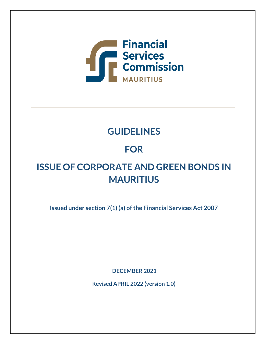

# **GUIDELINES**

# **FOR**

# **ISSUE OF CORPORATE AND GREEN BONDS IN MAURITIUS**

**Issued under section 7(1) (a) of the Financial Services Act 2007**

**DECEMBER 2021**

**Revised APRIL 2022 (version 1.0)**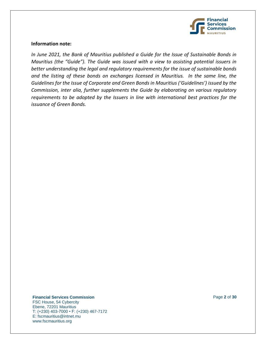

#### **Information note:**

*In June 2021, the Bank of Mauritius published a Guide for the Issue of Sustainable Bonds in Mauritius (the "Guide"). The Guide was issued with a view to assisting potential issuers in better understanding the legal and regulatory requirements for the issue of sustainable bonds and the listing of these bonds on exchanges licensed in Mauritius. In the same line, the Guidelines for the Issue of Corporate and Green Bonds in Mauritius ('Guidelines') issued by the Commission, inter alia, further supplements the Guide by elaborating on various regulatory requirements to be adopted by the Issuers in line with international best practices for the issuance of Green Bonds.*

**Financial Services Commission** Page **2** of **30**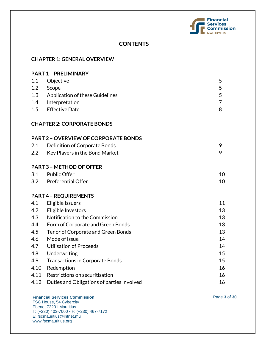

# **CONTENTS**

| <b>CHAPTER 1: GENERAL OVERVIEW</b> |                                             |                |  |  |
|------------------------------------|---------------------------------------------|----------------|--|--|
| <b>PART 1 - PRELIMINARY</b>        |                                             |                |  |  |
| 1.1                                | Objective                                   | 5              |  |  |
| 1.2                                | Scope                                       | 5              |  |  |
| 1.3                                | Application of these Guidelines             | 5              |  |  |
| 1.4                                | Interpretation                              | $\overline{7}$ |  |  |
| 1.5                                | <b>Effective Date</b>                       | 8              |  |  |
|                                    | <b>CHAPTER 2: CORPORATE BONDS</b>           |                |  |  |
|                                    | <b>PART 2 - OVERVIEW OF CORPORATE BONDS</b> |                |  |  |
| 2.1                                | Definition of Corporate Bonds               | 9              |  |  |
| 2.2                                | Key Players in the Bond Market              | 9              |  |  |
|                                    | <b>PART 3 - METHOD OF OFFER</b>             |                |  |  |
| 3.1                                | <b>Public Offer</b>                         | 10             |  |  |
| 3.2                                | Preferential Offer                          | 10             |  |  |
|                                    | <b>PART 4 - REQUIREMENTS</b>                |                |  |  |
| 4.1                                | Eligible Issuers                            | 11             |  |  |
| 4.2                                | Eligible Investors                          | 13             |  |  |
| 4.3                                | Notification to the Commission              | 13             |  |  |
| 4.4                                | Form of Corporate and Green Bonds           | 13             |  |  |
| 4.5                                | Tenor of Corporate and Green Bonds          | 13             |  |  |
| 4.6                                | Mode of Issue                               | 14             |  |  |
| 4.7                                | <b>Utilisation of Proceeds</b>              | 14             |  |  |
| 4.8                                | Underwriting                                | 15             |  |  |
| 4.9                                | <b>Transactions in Corporate Bonds</b>      | 15             |  |  |
| 4.10                               | Redemption                                  | 16             |  |  |
| 4.11                               | Restrictions on securitisation              | 16             |  |  |
| 4.12                               | Duties and Obligations of parties involved  | 16             |  |  |

#### **Financial Services Commission** Page **3** of **30**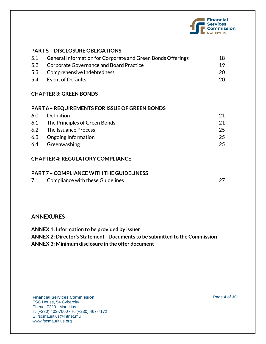

## **PART 5 – DISCLOSURE OBLIGATIONS**

| 5.1 General Information for Corporate and Green Bonds Offerings | 18  |
|-----------------------------------------------------------------|-----|
| 5.2 Corporate Governance and Board Practice                     | 19  |
| 5.3 Comprehensive Indebtedness                                  | 20. |
| 5.4 Event of Defaults                                           | 20. |

## **CHAPTER 3: GREEN BONDS**

#### **PART 6 – REQUIREMENTS FOR ISSUE OF GREEN BONDS**

| Definition                        |     |
|-----------------------------------|-----|
| 6.1 The Principles of Green Bonds | 21  |
| 6.2 The Issuance Process          | 25  |
| 6.3 Ongoing Information           | 25  |
| 6.4 Greenwashing                  | 25. |
|                                   |     |

## **CHAPTER 4: REGULATORY COMPLIANCE**

## **PART 7 – COMPLIANCE WITH THE GUIDELINESS**

| 7.1 | Compliance with these Guidelines |  |
|-----|----------------------------------|--|
|     |                                  |  |

# **ANNEXURES**

**ANNEX 1: Information to be provided by issuer ANNEX 2: Director's Statement - Documents to be submitted to the Commission ANNEX 3: Minimum disclosure in the offer document**

## **Financial Services Commission** Page **4** of **30**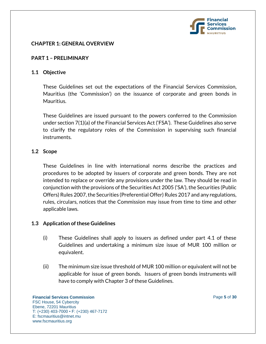

## **CHAPTER 1: GENERAL OVERVIEW**

## **PART 1 – PRELIMINARY**

#### **1.1 Objective**

These Guidelines set out the expectations of the Financial Services Commission, Mauritius (the 'Commission') on the issuance of corporate and green bonds in Mauritius.

These Guidelines are issued pursuant to the powers conferred to the Commission under section 7(1)(a) of the Financial Services Act ('FSA'). These Guidelines also serve to clarify the regulatory roles of the Commission in supervising such financial instruments.

## **1.2 Scope**

These Guidelines in line with international norms describe the practices and procedures to be adopted by issuers of corporate and green bonds. They are not intended to replace or override any provisions under the law. They should be read in conjunction with the provisions of the Securities Act 2005 ('SA'), the Securities (Public Offers) Rules 2007, the Securities (Preferential Offer) Rules 2017 and any regulations, rules, circulars, notices that the Commission may issue from time to time and other applicable laws.

#### **1.3 Application of these Guidelines**

- (i) These Guidelines shall apply to issuers as defined under part 4.1 of these Guidelines and undertaking a minimum size issue of MUR 100 million or equivalent.
- (ii) The minimum size issue threshold of MUR 100 million or equivalent will not be applicable for issue of green bonds. Issuers of green bonds instruments will have to comply with Chapter 3 of these Guidelines.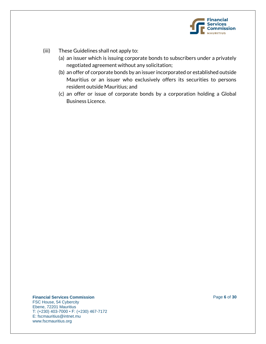

- (iii) These Guidelines shall not apply to:
	- (a) an issuer which is issuing corporate bonds to subscribers under a privately negotiated agreement without any solicitation;
	- (b) an offer of corporate bonds by an issuer incorporated or established outside Mauritius or an issuer who exclusively offers its securities to persons resident outside Mauritius; and
	- (c) an offer or issue of corporate bonds by a corporation holding a Global Business Licence.

**Financial Services Commission** Page **6** of **30**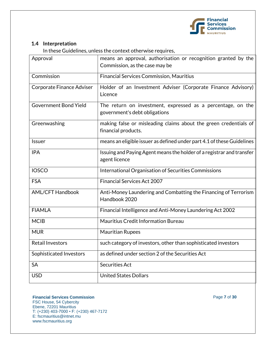

# **1.4 Interpretation**

In these Guidelines, unless the context otherwise requires,

| Approval                     | means an approval, authorisation or recognition granted by the<br>Commission, as the case may be |
|------------------------------|--------------------------------------------------------------------------------------------------|
| Commission                   | <b>Financial Services Commission, Mauritius</b>                                                  |
| Corporate Finance Adviser    | Holder of an Investment Adviser (Corporate Finance Advisory)<br>Licence                          |
| <b>Government Bond Yield</b> | The return on investment, expressed as a percentage, on the<br>government's debt obligations     |
| Greenwashing                 | making false or misleading claims about the green credentials of<br>financial products.          |
| Issuer                       | means an eligible issuer as defined under part 4.1 of these Guidelines                           |
| <b>IPA</b>                   | Issuing and Paying Agent means the holder of a registrar and transfer<br>agent licence           |
| <b>IOSCO</b>                 | International Organisation of Securities Commissions                                             |
| <b>FSA</b>                   | <b>Financial Services Act 2007</b>                                                               |
| <b>AML/CFT Handbook</b>      | Anti-Money Laundering and Combatting the Financing of Terrorism<br>Handbook 2020                 |
| <b>FIAMLA</b>                | Financial Intelligence and Anti-Money Laundering Act 2002                                        |
| <b>MCIB</b>                  | Mauritius Credit Information Bureau                                                              |
| <b>MUR</b>                   | <b>Mauritian Rupees</b>                                                                          |
| <b>Retail Investors</b>      | such category of investors, other than sophisticated investors                                   |
| Sophisticated Investors      | as defined under section 2 of the Securities Act                                                 |
| <b>SA</b>                    | <b>Securities Act</b>                                                                            |
| <b>USD</b>                   | <b>United States Dollars</b>                                                                     |

#### **Financial Services Commission Page 7** of 30 FSC House, 54 Cybercity Ebene, 72201 Mauritius T: (+230) 403-7000 • F: (+230) 467-7172 E: fscmauritius@intnet.mu www.fscmauritius.org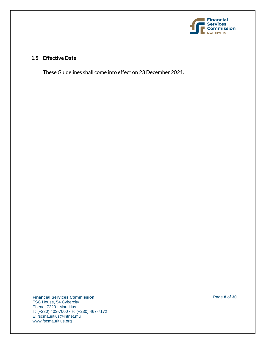

# **1.5 Effective Date**

These Guidelines shall come into effect on 23 December 2021.

**Financial Services Commission** Page **8** of **30**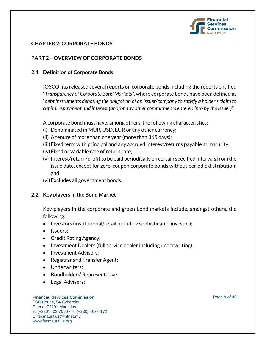

# **CHAPTER 2: CORPORATE BONDS**

# **PART 2 – OVERVIEW OF CORPORATE BONDS**

## **2.1 Definition of Corporate Bonds**

IOSCO has released several reports on corporate bonds including the reports entitled "*Transparency of Corporate Bond Markets*", where corporate bonds have been defined as "*debt instruments denoting the obligation of an issuer/company to satisfy a holder's claim to capital repayment and interest (and/or any other commitments entered into by the issuer)".*

A corporate bond must have, among others, the following characteristics:

- (i) Denominated in MUR, USD, EUR or any other currency;
- (ii) A tenure of more than one year (more than 365 days);
- (iii)Fixed term with principal and any accrued interest/returns payable at maturity;
- (iv)Fixed or variable rate of return rate;
- (v) Interest/return/profitto be paid periodically on certain specified intervals from the issue date, except for zero-coupon corporate bonds without periodic distribution; and
- (vi)Excludes all government bonds.

#### **2.2 Key players in the Bond Market**

Key players in the corporate and green bond markets include, amongst others, the following:

- Investors (institutional/retail including sophisticated investor);
- Issuers:
- Credit Rating Agency;
- Investment Dealers (full service dealer including underwriting);
- Investment Advisers;
- Registrar and Transfer Agent;
- Underwriters:
- Bondholders' Representative
- Legal Advisers;

#### **Financial Services Commission** Page **9** of **30**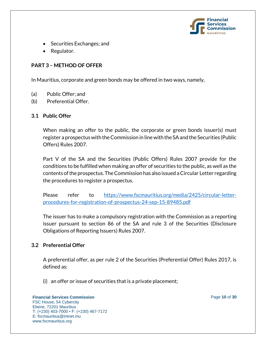

- Securities Exchanges; and
- Regulator.

# **PART 3 – METHOD OF OFFER**

In Mauritius, corporate and green bonds may be offered in two ways, namely,

- (a) Public Offer; and
- (b) Preferential Offer.

## **3.1 Public Offer**

When making an offer to the public, the corporate or green bonds issuer(s) must register a prospectus with the Commission in line with the SA and the Securities (Public Offers) Rules 2007.

Part V of the SA and the Securities (Public Offers) Rules 2007 provide for the conditions to be fulfilled when making an offer of securities to the public, as well as the contents of the prospectus. The Commission has also issued a Circular Letter regarding the procedures to register a prospectus.

Please refer to [https://www.fscmauritius.org/media/2425/circular-letter](https://www.fscmauritius.org/media/2425/circular-letter-procedures-for-registration-of-prospectus-24-sep-15-89485.pdf)[procedures-for-registration-of-prospectus-24-sep-15-89485.pdf](https://www.fscmauritius.org/media/2425/circular-letter-procedures-for-registration-of-prospectus-24-sep-15-89485.pdf)

The issuer has to make a compulsory registration with the Commission as a reporting issuer pursuant to section 86 of the SA and rule 3 of the Securities (Disclosure Obligations of Reporting Issuers) Rules 2007.

# **3.2 Preferential Offer**

A preferential offer, as per rule 2 of the Securities (Preferential Offer) Rules 2017, is defined as:

(i) an offer or issue of securities that is a private placement;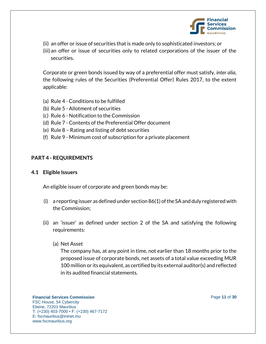

- (ii) an offer or issue of securities that is made only to sophisticated investors; or
- (iii)an offer or issue of securities only to related corporations of the issuer of the securities.

Corporate or green bonds issued by way of a preferential offer must satisfy, *inter alia*, the following rules of the Securities (Preferential Offer) Rules 2017, to the extent applicable:

- (a) Rule 4 Conditions to be fulfilled
- (b) Rule 5 Allotment of securities
- (c) Rule 6 Notification to the Commission
- (d) Rule 7 Contents of the Preferential Offer document
- (e) Rule 8 Rating and listing of debt securities
- (f) Rule 9 Minimum cost of subscription for a private placement

## **PART 4 - REQUIREMENTS**

**4.1 Eligible Issuers** 

An eligible issuer of corporate and green bonds may be:

- (i) a reporting issuer as defined under section 86(1) of the SA and duly registered with the Commission;
- (ii) an 'issuer' as defined under section 2 of the SA and satisfying the following requirements:
	- (a) Net Asset

The company has, at any point in time, not earlier than 18 months prior to the proposed issue of corporate bonds, net assets of a total value exceeding MUR 100 million or its equivalent, as certified by its external auditor(s) and reflected in its audited financial statements.

**Financial Services Commission Page 11 of 30** FSC House, 54 Cybercity Ebene, 72201 Mauritius T: (+230) 403-7000 • F: (+230) 467-7172 E: fscmauritius@intnet.mu www.fscmauritius.org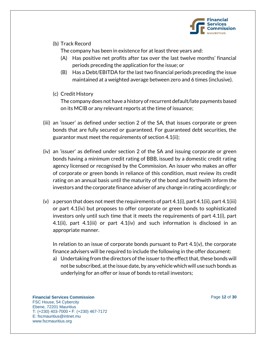

# (b) Track Record

The company has been in existence for at least three years and:

- (A) Has positive net profits after tax over the last twelve months' financial periods preceding the application for the issue; or
- (B) Has a Debt/EBITDA for the last two financial periods preceding the issue maintained at a weighted average between zero and 6 times (inclusive).
- (c) Credit History

The company does not have a history of recurrent default/late payments based on its MCIB or any relevant reports at the time of issuance;

- (iii) an 'issuer' as defined under section 2 of the SA, that issues corporate or green bonds that are fully secured or guaranteed. For guaranteed debt securities, the guarantor must meet the requirements of section 4.1(ii);
- (iv) an 'issuer' as defined under section 2 of the SA and issuing corporate or green bonds having a minimum credit rating of BBB, issued by a domestic credit rating agency licensed or recognised by the Commission. An issuer who makes an offer of corporate or green bonds in reliance of this condition, must review its credit rating on an annual basis until the maturity of the bond and forthwith inform the investors and the corporate finance adviser of any change in rating accordingly; or
- (v) a person that does not meet the requirements of part  $4.1(i)$ , part  $4.1(ii)$ , part  $4.1(iii)$ or part 4.1(iv) but proposes to offer corporate or green bonds to sophisticated investors only until such time that it meets the requirements of part 4.1(i), part 4.1(ii), part 4.1(iii) or part 4.1(iv) and such information is disclosed in an appropriate manner.

In relation to an issue of corporate bonds pursuant to Part  $4.1(v)$ , the corporate finance advisers will be required to include the following in the offer document:

a) Undertaking from the directors of the issuer to the effect that, these bonds will not be subscribed, at the issue date, by any vehicle which will use such bonds as underlying for an offer or issue of bonds to retail investors;

**Financial Services Commission Page 12 of 30** FSC House, 54 Cybercity Ebene, 72201 Mauritius T: (+230) 403-7000 • F: (+230) 467-7172 E: fscmauritius@intnet.mu www.fscmauritius.org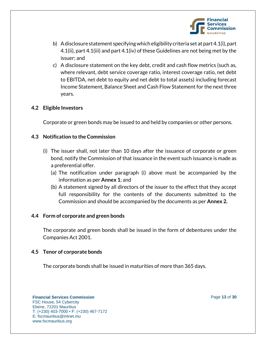

- b) A disclosure statement specifyingwhich eligibility criteria set at part 4.1(i), part 4.1(ii), part 4.1(iii) and part 4.1(iv) of these Guidelines are not being met by the issuer; and
- c) A disclosure statement on the key debt, credit and cash flow metrics (such as, where relevant, debt service coverage ratio, interest coverage ratio, net debt to EBITDA, net debt to equity and net debt to total assets) including forecast Income Statement, Balance Sheet and Cash Flow Statement for the next three years.

# **4.2 Eligible Investors**

Corporate or green bonds may be issued to and held by companies or other persons.

## **4.3 Notification to the Commission**

- (i) The issuer shall, not later than 10 days after the issuance of corporate or green bond, notify the Commission of that issuance in the event such issuance is made as a preferential offer.
	- (a) The notification under paragraph (i) above must be accompanied by the information as per **Annex 1**; and
	- (b) A statement signed by all directors of the issuer to the effect that they accept full responsibility for the contents of the documents submitted to the Commission and should be accompanied by the documents as per **Annex 2.**

#### **4.4 Form of corporate and green bonds**

The corporate and green bonds shall be issued in the form of debentures under the Companies Act 2001.

# **4.5 Tenor of corporate bonds**

The corporate bonds shall be issued in maturities of more than 365 days.

**Financial Services Commission Page 13 of 30** FSC House, 54 Cybercity Ebene, 72201 Mauritius T: (+230) 403-7000 • F: (+230) 467-7172 E: fscmauritius@intnet.mu www.fscmauritius.org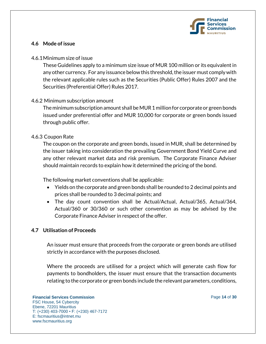

# **4.6 Mode of issue**

#### 4.6.1Minimum size of issue

These Guidelines apply to a minimum size issue of MUR 100 million or its equivalent in any other currency. For any issuance below this threshold, the issuer must comply with the relevant applicable rules such as the Securities (Public Offer) Rules 2007 and the Securities (Preferential Offer) Rules 2017.

# 4.6.2 Minimum subscription amount

The minimum subscription amount shall be MUR 1 million for corporate or green bonds issued under preferential offer and MUR 10,000 for corporate or green bonds issued through public offer.

## 4.6.3 Coupon Rate

The coupon on the corporate and green bonds, issued in MUR, shall be determined by the issuer taking into consideration the prevailing Government Bond Yield Curve and any other relevant market data and risk premium. The Corporate Finance Adviser should maintain records to explain how it determined the pricing of the bond.

The following market conventions shall be applicable:

- Yields on the corporate and green bonds shall be rounded to 2 decimal points and prices shall be rounded to 3 decimal points; and
- The day count convention shall be Actual/Actual, Actual/365, Actual/364, Actual/360 or 30/360 or such other convention as may be advised by the Corporate Finance Adviser in respect of the offer.

#### **4.7 Utilisation of Proceeds**

An issuer must ensure that proceeds from the corporate or green bonds are utilised strictly in accordance with the purposes disclosed.

Where the proceeds are utilised for a project which will generate cash flow for payments to bondholders, the issuer must ensure that the transaction documents relating to the corporate or green bonds include the relevant parameters, conditions,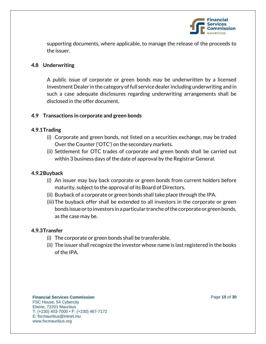

supporting documents, where applicable, to manage the release of the proceeds to the issuer.

## **4.8 Underwriting**

A public issue of corporate or green bonds may be underwritten by a licensed Investment Dealer in the category of full service dealer including underwriting and in such a case adequate disclosures regarding underwriting arrangements shall be disclosed in the offer document.

## **4.9 Transactions in corporate and green bonds**

## **4.9.1Trading**

- (i) Corporate and green bonds, not listed on a securities exchange, may be traded Over the Counter ('OTC') on the secondary markets.
- (ii) Settlement for OTC trades of corporate and green bonds shall be carried out within 3 business days of the date of approval by the Registrar General.

# **4.9.2Buyback**

- (i) An issuer may buy back corporate or green bonds from current holders before maturity, subject to the approval of its Board of Directors.
- (ii) Buyback of a corporate or green bonds shall take place through the IPA.
- (iii)The buyback offer shall be extended to all investors in the corporate or green bonds issue or to investors in a particular tranche of the corporate or green bonds, as the case may be.

#### **4.9.3Transfer**

- (i) The corporate or green bonds shall be transferable.
- (ii) The issuer shall recognize the investor whose name is last registered in the books of the IPA.

#### **Financial Services Commission Page 15** of 30 FSC House, 54 Cybercity Ebene, 72201 Mauritius T: (+230) 403-7000 • F: (+230) 467-7172 E: fscmauritius@intnet.mu www.fscmauritius.org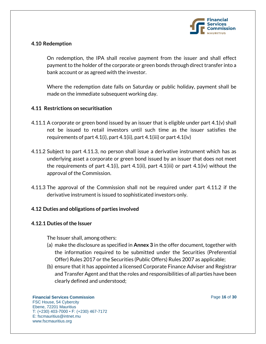

# **4.10 Redemption**

On redemption, the IPA shall receive payment from the issuer and shall effect payment to the holder of the corporate or green bonds through direct transfer into a bank account or as agreed with the investor.

Where the redemption date falls on Saturday or public holiday, payment shall be made on the immediate subsequent working day.

#### **4.11 Restrictions on securitisation**

- 4.11.1 A corporate or green bond issued by an issuer that is eligible under part 4.1(v) shall not be issued to retail investors until such time as the issuer satisfies the requirements of part 4.1(i), part 4.1(ii), part 4.1(iii) or part 4.1(iv)
- 4.11.2 Subject to part 4.11.3, no person shall issue a derivative instrument which has as underlying asset a corporate or green bond issued by an issuer that does not meet the requirements of part 4.1(i), part 4.1(ii), part 4.1(iii) or part 4.1(iv) without the approval of the Commission.
- 4.11.3 The approval of the Commission shall not be required under part 4.11.2 if the derivative instrument is issued to sophisticated investors only.

#### **4.12 Duties and obligations of parties involved**

#### **4.12.1 Duties of the Issuer**

The Issuer shall, among others:

- (a) make the disclosure as specified in **Annex 3** in the offer document, together with the information required to be submitted under the Securities (Preferential Offer) Rules 2017 or the Securities (Public Offers) Rules 2007 as applicable;
- (b) ensure that it has appointed a licensed Corporate Finance Adviser and Registrar and Transfer Agent and that the roles and responsibilities of all parties have been clearly defined and understood;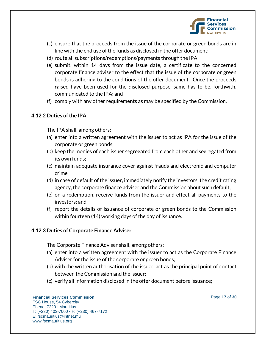

- (c) ensure that the proceeds from the issue of the corporate or green bonds are in line with the end use of the funds as disclosed in the offer document;
- (d) route all subscriptions/redemptions/payments through the IPA;
- (e) submit, within 14 days from the issue date, a certificate to the concerned corporate finance adviser to the effect that the issue of the corporate or green bonds is adhering to the conditions of the offer document. Once the proceeds raised have been used for the disclosed purpose, same has to be, forthwith, communicated to the IPA; and
- (f) comply with any other requirements as may be specified by the Commission.

#### **4.12.2 Duties of the IPA**

The IPA shall, among others:

- (a) enter into a written agreement with the issuer to act as IPA for the issue of the corporate or green bonds;
- (b) keep the monies of each issuer segregated from each other and segregated from its own funds;
- (c) maintain adequate insurance cover against frauds and electronic and computer crime
- (d) in case of default of the issuer, immediately notify the investors, the credit rating agency, the corporate finance adviser and the Commission about such default;
- (e) on a redemption, receive funds from the issuer and effect all payments to the investors; and
- (f) report the details of issuance of corporate or green bonds to the Commission within fourteen (14) working days of the day of issuance.

#### **4.12.3 Duties of Corporate Finance Adviser**

The Corporate Finance Adviser shall, among others:

- (a) enter into a written agreement with the issuer to act as the Corporate Finance Adviser for the issue of the corporate or green bonds;
- (b) with the written authorisation of the issuer, act as the principal point of contact between the Commission and the issuer;
- (c) verify all information disclosed in the offer document before issuance;

#### **Financial Services Commission Page 17** of **30** FSC House, 54 Cybercity Ebene, 72201 Mauritius T: (+230) 403-7000 • F: (+230) 467-7172 E: fscmauritius@intnet.mu www.fscmauritius.org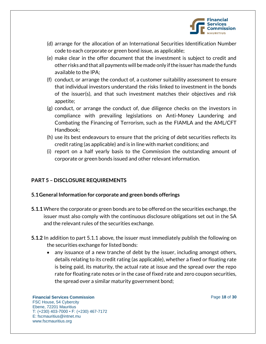

- (d) arrange for the allocation of an International Securities Identification Number code to each corporate or green bond issue, as applicable;
- (e) make clear in the offer document that the investment is subject to credit and other risks and that all payments will be made only if the issuer has made the funds available to the IPA;
- (f) conduct, or arrange the conduct of, a customer suitability assessment to ensure that individual investors understand the risks linked to investment in the bonds of the issuer(s), and that such investment matches their objectives and risk appetite;
- (g) conduct, or arrange the conduct of, due diligence checks on the investors in compliance with prevailing legislations on Anti-Money Laundering and Combating the Financing of Terrorism, such as the FIAMLA and the AML/CFT Handbook;
- (h) use its best endeavours to ensure that the pricing of debt securities reflects its credit rating (as applicable) and is in line with market conditions; and
- (i) report on a half yearly basis to the Commission the outstanding amount of corporate or green bonds issued and other relevant information.

# **PART 5 – DISCLOSURE REQUIREMENTS**

# **5.1General Information for corporate and green bonds offerings**

- **5.1.1**Where the corporate or green bonds are to be offered on the securities exchange, the issuer must also comply with the continuous disclosure obligations set out in the SA and the relevant rules of the securities exchange.
- **5.1.2** In addition to part 5.1.1 above, the issuer must immediately publish the following on the securities exchange for listed bonds:
	- any issuance of a new tranche of debt by the issuer, including amongst others, details relating to its credit rating (as applicable), whether a fixed or floating rate is being paid, its maturity, the actual rate at issue and the spread over the repo rate for floating rate notes or in the case of fixed rate and zero coupon securities, the spread over a similar maturity government bond;

**Financial Services Commission Page 18** of **30** FSC House, 54 Cybercity Ebene, 72201 Mauritius T: (+230) 403-7000 • F: (+230) 467-7172 E: fscmauritius@intnet.mu www.fscmauritius.org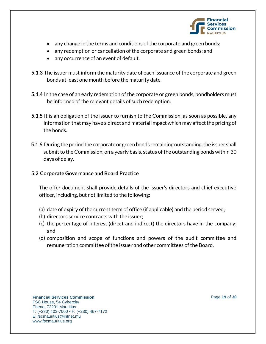

- any change in the terms and conditions of the corporate and green bonds;
- any redemption or cancellation of the corporate and green bonds; and
- any occurrence of an event of default.
- **5.1.3** The issuer must inform the maturity date of each issuance of the corporate and green bonds at least one month before the maturity date.
- **5.1.4** In the case of an early redemption of the corporate or green bonds, bondholders must be informed of the relevant details of such redemption.
- **5.1.5** It is an obligation of the issuer to furnish to the Commission, as soon as possible, any information that may have a direct and material impact which may affect the pricing of the bonds.
- **5.1.6** During the period the corporate or green bonds remaining outstanding, the issuer shall submit to the Commission, on a yearly basis, status of the outstanding bonds within 30 days of delay.

#### **5.2 Corporate Governance and Board Practice**

The offer document shall provide details of the issuer's directors and chief executive officer, including, but not limited to the following:

- (a) date of expiry of the current term of office (if applicable) and the period served;
- (b) directors service contracts with the issuer;
- (c) the percentage of interest (direct and indirect) the directors have in the company; and
- (d) composition and scope of functions and powers of the audit committee and remuneration committee of the issuer and other committees of the Board.

#### **Financial Services Commission Page 19 of 30** FSC House, 54 Cybercity Ebene, 72201 Mauritius T: (+230) 403-7000 • F: (+230) 467-7172 E: fscmauritius@intnet.mu www.fscmauritius.org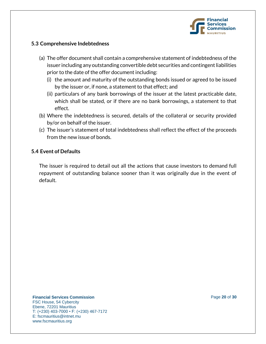

## **5.3 Comprehensive Indebtedness**

- (a) The offer document shall contain a comprehensive statement of indebtedness of the issuer including any outstanding convertible debt securities and contingent liabilities prior to the date of the offer document including:
	- (i) the amount and maturity of the outstanding bonds issued or agreed to be issued by the issuer or, if none, a statement to that effect; and
	- (ii) particulars of any bank borrowings of the issuer at the latest practicable date, which shall be stated, or if there are no bank borrowings, a statement to that effect.
- (b) Where the indebtedness is secured, details of the collateral or security provided by/or on behalf of the issuer.
- (c) The issuer's statement of total indebtedness shall reflect the effect of the proceeds from the new issue of bonds.

## **5.4 Event of Defaults**

The issuer is required to detail out all the actions that cause investors to demand full repayment of outstanding balance sooner than it was originally due in the event of default.

#### **Financial Services Commission Page 20** of **30** FSC House, 54 Cybercity Ebene, 72201 Mauritius T: (+230) 403-7000 • F: (+230) 467-7172 E: fscmauritius@intnet.mu www.fscmauritius.org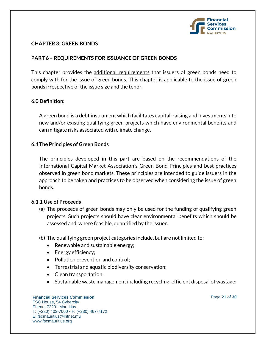

## **CHAPTER 3: GREEN BONDS**

# **PART 6 – REQUIREMENTS FOR ISSUANCE OF GREEN BONDS**

This chapter provides the additional requirements that issuers of green bonds need to comply with for the issue of green bonds. This chapter is applicable to the issue of green bonds irrespective of the issue size and the tenor.

# **6.0 Definition:**

A green bond is a debt instrument which facilitates capital-raising and investments into new and/or existing qualifying green projects which have environmental benefits and can mitigate risks associated with climate change.

## **6.1The Principles of Green Bonds**

The principles developed in this part are based on the recommendations of the International Capital Market Association's Green Bond Principles and best practices observed in green bond markets. These principles are intended to guide issuers in the approach to be taken and practices to be observed when considering the issue of green bonds.

#### **6.1.1 Use of Proceeds**

- (a) The proceeds of green bonds may only be used for the funding of qualifying green projects. Such projects should have clear environmental benefits which should be assessed and, where feasible, quantified by the issuer.
- (b) The qualifying green project categories include, but are not limited to:
	- Renewable and sustainable energy;
	- Energy efficiency;
	- Pollution prevention and control;
	- Terrestrial and aquatic biodiversity conservation;
	- Clean transportation;
	- Sustainable waste management including recycling, efficient disposal of wastage;

#### **Financial Services Commission Page 21 of 30** FSC House, 54 Cybercity Ebene, 72201 Mauritius T: (+230) 403-7000 • F: (+230) 467-7172 E: fscmauritius@intnet.mu www.fscmauritius.org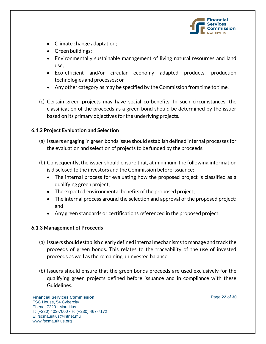

- Climate change adaptation;
- Green buildings;
- Environmentally sustainable management of living natural resources and land use;
- Eco-efficient and/or circular economy adapted products, production technologies and processes; or
- Any other category as may be specified by the Commission from time to time.
- (c) Certain green projects may have social co-benefits. In such circumstances, the classification of the proceeds as a green bond should be determined by the issuer based on its primary objectives for the underlying projects.

## **6.1.2 Project Evaluation and Selection**

- (a) Issuers engaging in green bonds issue should establish defined internal processes for the evaluation and selection of projects to be funded by the proceeds.
- (b) Consequently, the issuer should ensure that, at minimum, the following information is disclosed to the investors and the Commission before issuance:
	- The internal process for evaluating how the proposed project is classified as a qualifying green project;
	- The expected environmental benefits of the proposed project;
	- The internal process around the selection and approval of the proposed project; and
	- Any green standards or certifications referenced in the proposed project.

#### **6.1.3 Management of Proceeds**

- (a) Issuers should establish clearly defined internal mechanisms to manage and track the proceeds of green bonds. This relates to the traceability of the use of invested proceeds as well as the remaining uninvested balance.
- (b) Issuers should ensure that the green bonds proceeds are used exclusively for the qualifying green projects defined before issuance and in compliance with these Guidelines.

#### **Financial Services Commission Page 22 of 30** FSC House, 54 Cybercity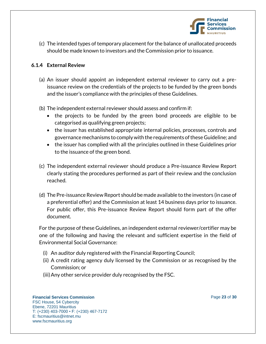

(c) The intended types of temporary placement for the balance of unallocated proceeds should be made known to investors and the Commission prior to issuance.

# **6.1.4 External Review**

- (a) An issuer should appoint an independent external reviewer to carry out a preissuance review on the credentials of the projects to be funded by the green bonds and the issuer's compliance with the principles of these Guidelines.
- (b) The independent external reviewer should assess and confirm if:
	- the projects to be funded by the green bond proceeds are eligible to be categorised as qualifying green projects;
	- the issuer has established appropriate internal policies, processes, controls and governance mechanisms to comply with the requirements of these Guideline; and
	- the issuer has complied with all the principles outlined in these Guidelines prior to the issuance of the green bond.
- (c) The independent external reviewer should produce a Pre-issuance Review Report clearly stating the procedures performed as part of their review and the conclusion reached.
- (d) The Pre-issuance Review Report should be made available to the investors (in case of a preferential offer) and the Commission at least 14 business days prior to issuance. For public offer, this Pre-issuance Review Report should form part of the offer document.

For the purpose of these Guidelines, an independent external reviewer/certifier may be one of the following and having the relevant and sufficient expertise in the field of Environmental Social Governance:

- (i) An auditor duly registered with the Financial Reporting Council;
- (ii) A credit rating agency duly licensed by the Commission or as recognised by the Commission; or
- (iii)Any other service provider duly recognised by the FSC.

#### **Financial Services Commission Page 23 of 30** FSC House, 54 Cybercity Ebene, 72201 Mauritius T: (+230) 403-7000 • F: (+230) 467-7172 E: fscmauritius@intnet.mu

www.fscmauritius.org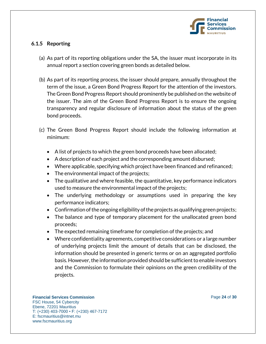

# **6.1.5 Reporting**

- (a) As part of its reporting obligations under the SA, the issuer must incorporate in its annual report a section covering green bonds as detailed below.
- (b) As part of its reporting process, the issuer should prepare, annually throughout the term of the issue, a Green Bond Progress Report for the attention of the investors. The Green Bond Progress Report should prominently be published on the website of the issuer. The aim of the Green Bond Progress Report is to ensure the ongoing transparency and regular disclosure of information about the status of the green bond proceeds.
- (c) The Green Bond Progress Report should include the following information at minimum:
	- A list of projects to which the green bond proceeds have been allocated;
	- A description of each project and the corresponding amount disbursed;
	- Where applicable, specifying which project have been financed and refinanced;
	- The environmental impact of the projects;
	- The qualitative and where feasible, the quantitative, key performance indicators used to measure the environmental impact of the projects;
	- The underlying methodology or assumptions used in preparing the key performance indicators;
	- Confirmation of the ongoing eligibility of the projects as qualifying green projects;
	- The balance and type of temporary placement for the unallocated green bond proceeds;
	- The expected remaining timeframe for completion of the projects; and
	- Where confidentiality agreements, competitive considerations or a large number of underlying projects limit the amount of details that can be disclosed, the information should be presented in generic terms or on an aggregated portfolio basis. However, the information provided should be sufficient to enable investors and the Commission to formulate their opinions on the green credibility of the projects.

#### **Financial Services Commission Page 24 of 30**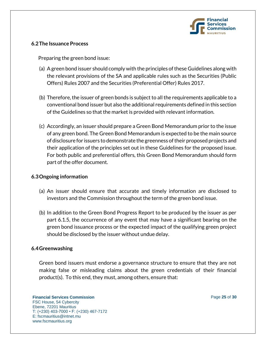

# **6.2The Issuance Process**

Preparing the green bond issue:

- (a) A green bond issuer should comply with the principles of these Guidelines along with the relevant provisions of the SA and applicable rules such as the Securities (Public Offers) Rules 2007 and the Securities (Preferential Offer) Rules 2017.
- (b) Therefore, the issuer of green bonds is subject to all the requirements applicable to a conventional bond issuer but also the additional requirements defined in this section of the Guidelines so that the market is provided with relevant information.
- (c) Accordingly, an issuer should prepare a Green Bond Memorandum prior to the issue of any green bond. The Green Bond Memorandum is expected to be the main source of disclosure for issuers to demonstrate the greenness of their proposed projects and their application of the principles set out in these Guidelines for the proposed issue. For both public and preferential offers, this Green Bond Memorandum should form part of the offer document.

# **6.3Ongoing information**

- (a) An issuer should ensure that accurate and timely information are disclosed to investors and the Commission throughout the term of the green bond issue.
- (b) In addition to the Green Bond Progress Report to be produced by the issuer as per part 6.1.5, the occurrence of any event that may have a significant bearing on the green bond issuance process or the expected impact of the qualifying green project should be disclosed by the issuer without undue delay.

#### **6.4Greenwashing**

Green bond issuers must endorse a governance structure to ensure that they are not making false or misleading claims about the green credentials of their financial product(s). To this end, they must, among others, ensure that:

#### **Financial Services Commission Page 25** of 30 FSC House, 54 Cybercity Ebene, 72201 Mauritius T: (+230) 403-7000 • F: (+230) 467-7172 E: fscmauritius@intnet.mu www.fscmauritius.org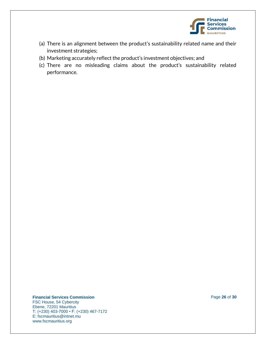

- (a) There is an alignment between the product's sustainability related name and their investment strategies;
- (b) Marketing accurately reflect the product's investment objectives; and
- (c) There are no misleading claims about the product's sustainability related performance.

#### **Financial Services Commission Page 26** of **30**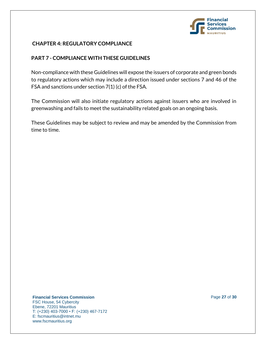

# **CHAPTER 4: REGULATORY COMPLIANCE**

# **PART 7 - COMPLIANCE WITH THESE GUIDELINES**

Non-compliance with these Guidelines will expose the issuers of corporate and green bonds to regulatory actions which may include a direction issued under sections 7 and 46 of the FSA and sanctions under section 7(1) (c) of the FSA.

The Commission will also initiate regulatory actions against issuers who are involved in greenwashing and fails to meet the sustainability related goals on an ongoing basis.

These Guidelines may be subject to review and may be amended by the Commission from time to time.

**Financial Services Commission Page 27** of **30**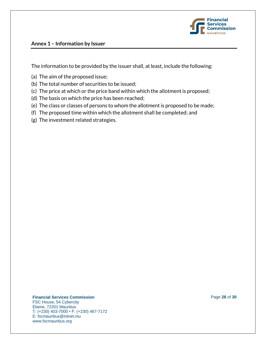

## **Annex 1 – Information by Issuer**

The information to be provided by the issuer shall, at least, include the following:

- (a) The aim of the proposed issue;
- (b) The total number of securities to be issued;
- (c) The price at which or the price band within which the allotment is proposed;
- (d) The basis on which the price has been reached;
- (e) The class or classes of persons to whom the allotment is proposed to be made;
- (f) The proposed time within which the allotment shall be completed; and
- (g) The investment related strategies.

**Financial Services Commission Page 28 of 30**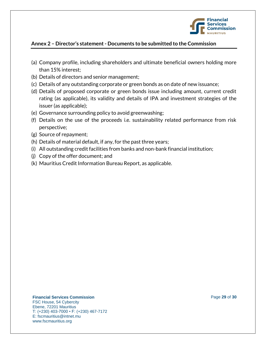

# **Annex 2 – Director's statement - Documents to be submitted to the Commission**

- (a) Company profile, including shareholders and ultimate beneficial owners holding more than 15% interest;
- (b) Details of directors and senior management;
- (c) Details of any outstanding corporate or green bonds as on date of new issuance;
- (d) Details of proposed corporate or green bonds issue including amount, current credit rating (as applicable), its validity and details of IPA and investment strategies of the issuer (as applicable);
- (e) Governance surrounding policy to avoid greenwashing;
- (f) Details on the use of the proceeds i.e. sustainability related performance from risk perspective;
- (g) Source of repayment;
- (h) Details of material default, if any, for the past three years;
- (i) All outstanding credit facilities from banks and non-bank financial institution;
- (j) Copy of the offer document; and
- (k) Mauritius Credit Information Bureau Report, as applicable.

#### **Financial Services Commission Page 29 of 30**